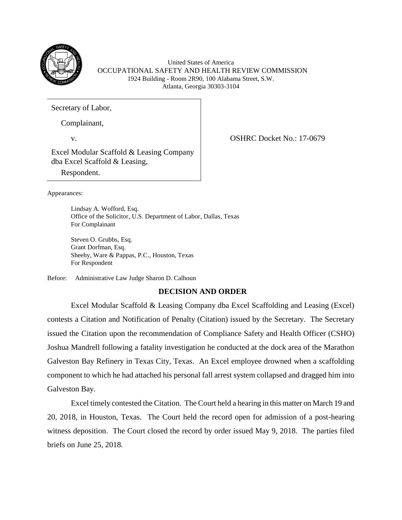

United States of America OCCUPATIONAL SAFETY AND HEALTH REVIEW COMMISSION 1924 Building - Room 2R90, 100 Alabama Street, S.W. Atlanta, Georgia 30303-3104

Secretary of Labor,

Complainant,

v. COSHRC Docket No.: 17-0679

Excel Modular Scaffold & Leasing Company dba Excel Scaffold & Leasing,

Respondent.

Appearances:

Lindsay A. Wofford, Esq. Office of the Solicitor, U.S. Department of Labor, Dallas, Texas For Complainant

Steven O. Grubbs, Esq. Grant Dorfman, Esq. Sheehy, Ware & Pappas, P.C., Houston, Texas For Respondent

Before: Administrative Law Judge Sharon D. Calhoun

# **DECISION AND ORDER**

Excel Modular Scaffold & Leasing Company dba Excel Scaffolding and Leasing (Excel) contests a Citation and Notification of Penalty (Citation) issued by the Secretary. The Secretary issued the Citation upon the recommendation of Compliance Safety and Health Officer (CSHO) Joshua Mandrell following a fatality investigation he conducted at the dock area of the Marathon Galveston Bay Refinery in Texas City, Texas. An Excel employee drowned when a scaffolding component to which he had attached his personal fall arrest system collapsed and dragged him into Galveston Bay.

Excel timely contested the Citation. The Court held a hearing in this matter on March 19 and 20, 2018, in Houston, Texas. The Court held the record open for admission of a post-hearing witness deposition. The Court closed the record by order issued May 9, 2018. The parties filed briefs on June 25, 2018.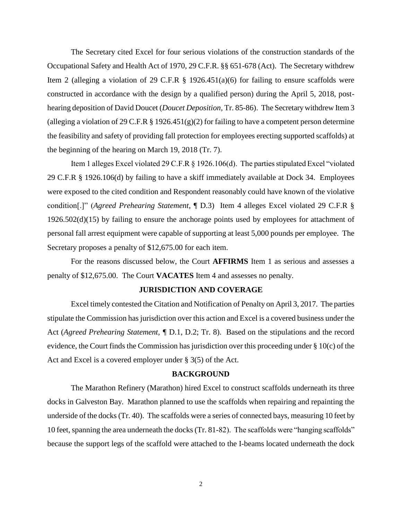The Secretary cited Excel for four serious violations of the construction standards of the Occupational Safety and Health Act of 1970, 29 C.F.R. §§ 651-678 (Act). The Secretary withdrew Item 2 (alleging a violation of 29 C.F.R  $\S$  1926.451(a)(6) for failing to ensure scaffolds were constructed in accordance with the design by a qualified person) during the April 5, 2018, posthearing deposition of David Doucet (*Doucet Deposition,* Tr. 85-86). The Secretary withdrew Item 3 (alleging a violation of 29 C.F.R  $\S$  1926.451(g)(2) for failing to have a competent person determine the feasibility and safety of providing fall protection for employees erecting supported scaffolds) at the beginning of the hearing on March 19, 2018 (Tr. 7).

Item 1 alleges Excel violated 29 C.F.R § 1926.106(d). The parties stipulated Excel "violated 29 C.F.R § 1926.106(d) by failing to have a skiff immediately available at Dock 34. Employees were exposed to the cited condition and Respondent reasonably could have known of the violative condition[.]" (*Agreed Prehearing Statement*, ¶ D.3) Item 4 alleges Excel violated 29 C.F.R § 1926.502(d)(15) by failing to ensure the anchorage points used by employees for attachment of personal fall arrest equipment were capable of supporting at least 5,000 pounds per employee. The Secretary proposes a penalty of \$12,675.00 for each item.

For the reasons discussed below, the Court **AFFIRMS** Item 1 as serious and assesses a penalty of \$12,675.00. The Court **VACATES** Item 4 and assesses no penalty.

#### **JURISDICTION AND COVERAGE**

Excel timely contested the Citation and Notification of Penalty on April 3, 2017. The parties stipulate the Commission has jurisdiction over this action and Excel is a covered business under the Act (*Agreed Prehearing Statement, ¶* D.1, D.2; Tr. 8). Based on the stipulations and the record evidence, the Court finds the Commission has jurisdiction over this proceeding under § 10(c) of the Act and Excel is a covered employer under § 3(5) of the Act.

#### **BACKGROUND**

The Marathon Refinery (Marathon) hired Excel to construct scaffolds underneath its three docks in Galveston Bay. Marathon planned to use the scaffolds when repairing and repainting the underside of the docks (Tr. 40). The scaffolds were a series of connected bays, measuring 10 feet by 10 feet, spanning the area underneath the docks (Tr. 81-82). The scaffolds were "hanging scaffolds" because the support legs of the scaffold were attached to the I-beams located underneath the dock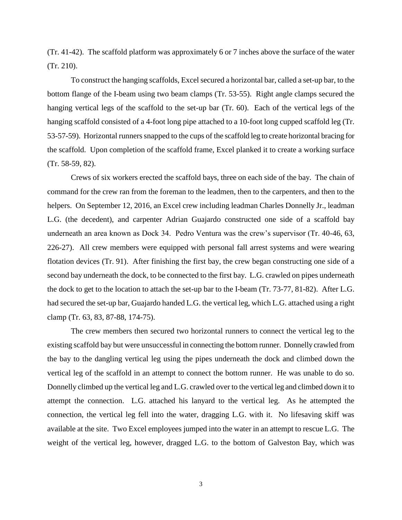(Tr. 41-42). The scaffold platform was approximately 6 or 7 inches above the surface of the water (Tr. 210).

To construct the hanging scaffolds, Excel secured a horizontal bar, called a set-up bar, to the bottom flange of the I-beam using two beam clamps (Tr. 53-55). Right angle clamps secured the hanging vertical legs of the scaffold to the set-up bar (Tr. 60). Each of the vertical legs of the hanging scaffold consisted of a 4-foot long pipe attached to a 10-foot long cupped scaffold leg (Tr. 53-57-59). Horizontal runners snapped to the cups of the scaffold leg to create horizontal bracing for the scaffold. Upon completion of the scaffold frame, Excel planked it to create a working surface (Tr. 58-59, 82).

Crews of six workers erected the scaffold bays, three on each side of the bay. The chain of command for the crew ran from the foreman to the leadmen, then to the carpenters, and then to the helpers. On September 12, 2016, an Excel crew including leadman Charles Donnelly Jr., leadman L.G. (the decedent), and carpenter Adrian Guajardo constructed one side of a scaffold bay underneath an area known as Dock 34. Pedro Ventura was the crew's supervisor (Tr. 40-46, 63, 226-27). All crew members were equipped with personal fall arrest systems and were wearing flotation devices (Tr. 91). After finishing the first bay, the crew began constructing one side of a second bay underneath the dock, to be connected to the first bay. L.G. crawled on pipes underneath the dock to get to the location to attach the set-up bar to the I-beam (Tr. 73-77, 81-82). After L.G. had secured the set-up bar, Guajardo handed L.G. the vertical leg, which L.G. attached using a right clamp (Tr. 63, 83, 87-88, 174-75).

The crew members then secured two horizontal runners to connect the vertical leg to the existing scaffold bay but were unsuccessful in connecting the bottom runner. Donnelly crawled from the bay to the dangling vertical leg using the pipes underneath the dock and climbed down the vertical leg of the scaffold in an attempt to connect the bottom runner. He was unable to do so. Donnelly climbed up the vertical leg and L.G. crawled over to the vertical leg and climbed down it to attempt the connection. L.G. attached his lanyard to the vertical leg. As he attempted the connection, the vertical leg fell into the water, dragging L.G. with it. No lifesaving skiff was available at the site. Two Excel employees jumped into the water in an attempt to rescue L.G. The weight of the vertical leg, however, dragged L.G. to the bottom of Galveston Bay, which was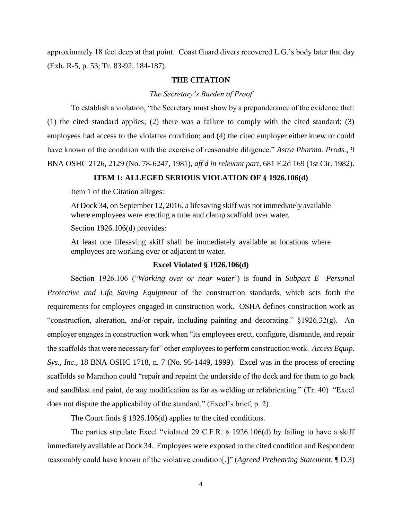approximately 18 feet deep at that point. Coast Guard divers recovered L.G.'s body later that day (Exh. R-5, p. 53; Tr. 83-92, 184-187).

## **THE CITATION**

*The Secretary's Burden of Proof* 

To establish a violation, "the Secretary must show by a preponderance of the evidence that: (1) the cited standard applies; (2) there was a failure to comply with the cited standard; (3) employees had access to the violative condition; and (4) the cited employer either knew or could have known of the condition with the exercise of reasonable diligence." *Astra Pharma. Prods.*, 9 BNA OSHC 2126, 2129 (No. 78-6247, 1981), *aff'd in relevant part*, 681 F.2d 169 (1st Cir. 1982).

## **ITEM 1: ALLEGED SERIOUS VIOLATION OF § 1926.106(d)**

Item 1 of the Citation alleges:

At Dock 34, on September 12, 2016, a lifesaving skiff was not immediately available where employees were erecting a tube and clamp scaffold over water.

Section 1926.106(d) provides:

At least one lifesaving skiff shall be immediately available at locations where employees are working over or adjacent to water.

## **Excel Violated § 1926.106(d)**

Section 1926.106 ("*Working over or near water*') is found in *Subpart E—Personal Protective and Life Saving Equipment* of the construction standards, which sets forth the requirements for employees engaged in construction work. OSHA defines construction work as "construction, alteration, and/or repair, including painting and decorating." §1926.32(g). An employer engages in construction work when "its employees erect, configure, dismantle, and repair the scaffolds that were necessary for" other employees to perform construction work. *Access Equip. Sys., Inc*., 18 BNA OSHC 1718, n. 7 (No. 95-1449, 1999). Excel was in the process of erecting scaffolds so Marathon could "repair and repaint the underside of the dock and for them to go back and sandblast and paint, do any modification as far as welding or refabricating." (Tr. 40) "Excel does not dispute the applicability of the standard." (Excel's brief, p. 2)

The Court finds § 1926.106(d) applies to the cited conditions.

The parties stipulate Excel "violated 29 C.F.R. § 1926.106(d) by failing to have a skiff immediately available at Dock 34. Employees were exposed to the cited condition and Respondent reasonably could have known of the violative condition[.]" (*Agreed Prehearing Statement*, ¶ D.3)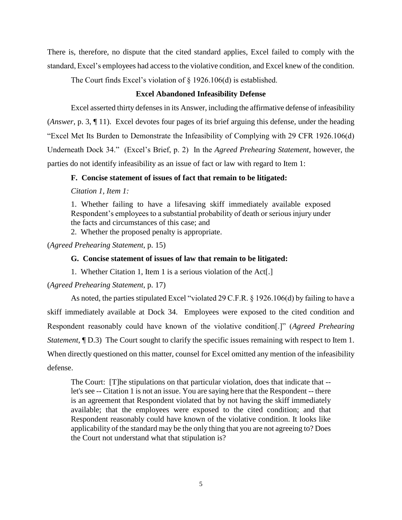There is, therefore, no dispute that the cited standard applies, Excel failed to comply with the standard, Excel's employees had access to the violative condition, and Excel knew of the condition.

The Court finds Excel's violation of § 1926.106(d) is established.

### **Excel Abandoned Infeasibility Defense**

Excel asserted thirty defenses in its Answer, including the affirmative defense of infeasibility (*Answer*, p. 3, ¶ 11). Excel devotes four pages of its brief arguing this defense, under the heading "Excel Met Its Burden to Demonstrate the Infeasibility of Complying with 29 CFR 1926.106(d) Underneath Dock 34." (Excel's Brief, p. 2) In the *Agreed Prehearing Statement*, however, the parties do not identify infeasibility as an issue of fact or law with regard to Item 1:

## **F. Concise statement of issues of fact that remain to be litigated:**

*Citation 1, Item 1:*

1. Whether failing to have a lifesaving skiff immediately available exposed Respondent's employees to a substantial probability of death or serious injury under the facts and circumstances of this case; and

2. Whether the proposed penalty is appropriate.

(*Agreed Prehearing Statement*, p. 15)

### **G. Concise statement of issues of law that remain to be litigated:**

1. Whether Citation 1, Item 1 is a serious violation of the Act[.]

## (*Agreed Prehearing Statement*, p. 17)

As noted, the parties stipulated Excel "violated 29 C.F.R. § 1926.106(d) by failing to have a skiff immediately available at Dock 34. Employees were exposed to the cited condition and Respondent reasonably could have known of the violative condition[.]" (*Agreed Prehearing Statement*,  $\P D.3$  The Court sought to clarify the specific issues remaining with respect to Item 1. When directly questioned on this matter, counsel for Excel omitted any mention of the infeasibility defense.

The Court: [T]he stipulations on that particular violation, does that indicate that - let's see -- Citation 1 is not an issue. You are saying here that the Respondent -- there is an agreement that Respondent violated that by not having the skiff immediately available; that the employees were exposed to the cited condition; and that Respondent reasonably could have known of the violative condition. It looks like applicability of the standard may be the only thing that you are not agreeing to? Does the Court not understand what that stipulation is?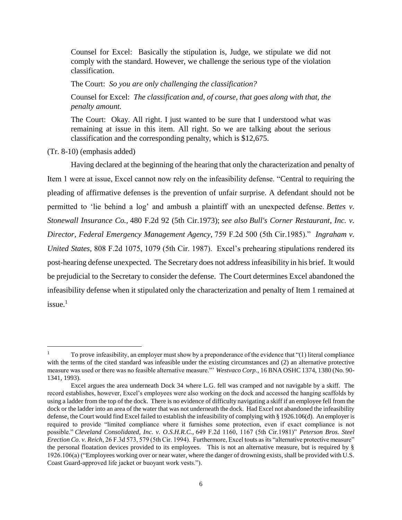Counsel for Excel: Basically the stipulation is, Judge, we stipulate we did not comply with the standard. However, we challenge the serious type of the violation classification.

The Court: *So you are only challenging the classification?*

Counsel for Excel: *The classification and, of course, that goes along with that, the penalty amount.* 

The Court: Okay. All right. I just wanted to be sure that I understood what was remaining at issue in this item. All right. So we are talking about the serious classification and the corresponding penalty, which is \$12,675.

(Tr. 8-10) (emphasis added)

 $\overline{\phantom{a}}$ 

Having declared at the beginning of the hearing that only the characterization and penalty of Item 1 were at issue, Excel cannot now rely on the infeasibility defense. "Central to requiring the pleading of affirmative defenses is the prevention of unfair surprise. A defendant should not be permitted to 'lie behind a log' and ambush a plaintiff with an unexpected defense. *Bettes v. Stonewall Insurance Co.,* 480 F.2d 92 (5th Cir.1973); *see also Bull's Corner Restaurant, Inc. v. Director, Federal Emergency Management Agency,* 759 F.2d 500 (5th Cir.1985)." *Ingraham v. United States,* 808 F.2d 1075, 1079 (5th Cir. 1987). Excel's prehearing stipulations rendered its post-hearing defense unexpected. The Secretary does not address infeasibility in his brief. It would be prejudicial to the Secretary to consider the defense. The Court determines Excel abandoned the infeasibility defense when it stipulated only the characterization and penalty of Item 1 remained at  $i$ ssue.<sup>1</sup>

<sup>1</sup> To prove infeasibility, an employer must show by a preponderance of the evidence that "(1) literal compliance with the terms of the cited standard was infeasible under the existing circumstances and (2) an alternative protective measure was used or there was no feasible alternative measure."' *Westvaco Corp.*, 16 BNA OSHC 1374, 1380 (No. 90- 1341, 1993).

Excel argues the area underneath Dock 34 where L.G. fell was cramped and not navigable by a skiff. The record establishes, however, Excel's employees were also working on the dock and accessed the hanging scaffolds by using a ladder from the top of the dock. There is no evidence of difficulty navigating a skiff if an employee fell from the dock or the ladder into an area of the water that was not underneath the dock. Had Excel not abandoned the infeasibility defense, the Court would find Excel failed to establish the infeasibility of complying with § 1926.106(d). An employer is required to provide "limited compliance where it furnishes some protection, even if exact compliance is not possible." *Cleveland Consolidated, Inc. v. O.S.H.R.C.,* 649 F.2d 1160, 1167 (5th Cir.1981)" *Peterson Bros. Steel Erection Co. v. Reich*, 26 F.3d 573, 579 (5th Cir. 1994). Furthermore, Excel touts as its "alternative protective measure" the personal floatation devices provided to its employees. This is not an alternative measure, but is required by § 1926.106(a) ("Employees working over or near water, where the danger of drowning exists, shall be provided with U.S. Coast Guard-approved life jacket or buoyant work vests.").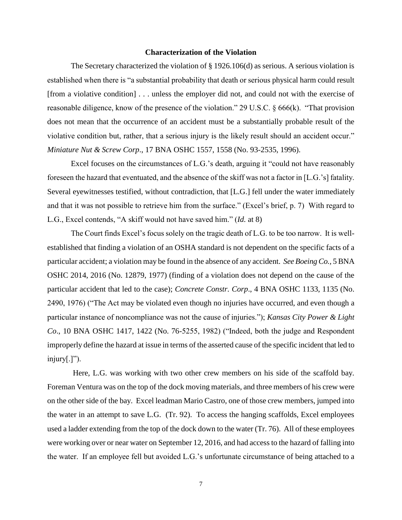#### **Characterization of the Violation**

The Secretary characterized the violation of § 1926.106(d) as serious. A serious violation is established when there is "a substantial probability that death or serious physical harm could result [from a violative condition] . . . unless the employer did not, and could not with the exercise of reasonable diligence, know of the presence of the violation." 29 U.S.C. § 666(k). "That provision does not mean that the occurrence of an accident must be a substantially probable result of the violative condition but, rather, that a serious injury is the likely result should an accident occur." *Miniature Nut & Screw Corp*., 17 BNA OSHC 1557, 1558 (No. 93-2535, 1996).

Excel focuses on the circumstances of L.G.'s death, arguing it "could not have reasonably foreseen the hazard that eventuated, and the absence of the skiff was not a factor in [L.G.'s] fatality. Several eyewitnesses testified, without contradiction, that [L.G.] fell under the water immediately and that it was not possible to retrieve him from the surface." (Excel's brief, p. 7) With regard to L.G., Excel contends, "A skiff would not have saved him." (*Id.* at 8)

The Court finds Excel's focus solely on the tragic death of L.G. to be too narrow. It is wellestablished that finding a violation of an OSHA standard is not dependent on the specific facts of a particular accident; a violation may be found in the absence of any accident. *See Boeing Co.,* 5 BNA OSHC 2014, 2016 (No. 12879, 1977) (finding of a violation does not depend on the cause of the particular accident that led to the case); *Concrete Constr. Corp*., 4 BNA OSHC 1133, 1135 (No. 2490, 1976) ("The Act may be violated even though no injuries have occurred, and even though a particular instance of noncompliance was not the cause of injuries."); *Kansas City Power & Light Co*., 10 BNA OSHC 1417, 1422 (No. 76-5255, 1982) ("Indeed, both the judge and Respondent improperly define the hazard at issue in terms of the asserted cause of the specific incident that led to  $injury[.]$ ").

Here, L.G. was working with two other crew members on his side of the scaffold bay. Foreman Ventura was on the top of the dock moving materials, and three members of his crew were on the other side of the bay. Excel leadman Mario Castro, one of those crew members, jumped into the water in an attempt to save L.G. (Tr. 92). To access the hanging scaffolds, Excel employees used a ladder extending from the top of the dock down to the water (Tr. 76). All of these employees were working over or near water on September 12, 2016, and had access to the hazard of falling into the water. If an employee fell but avoided L.G.'s unfortunate circumstance of being attached to a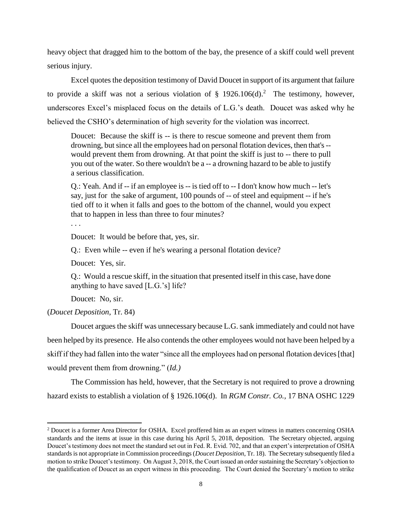heavy object that dragged him to the bottom of the bay, the presence of a skiff could well prevent serious injury.

Excel quotes the deposition testimony of David Doucet in support of its argument that failure to provide a skiff was not a serious violation of  $\S$  1926.106(d).<sup>2</sup> The testimony, however, underscores Excel's misplaced focus on the details of L.G.'s death. Doucet was asked why he believed the CSHO's determination of high severity for the violation was incorrect.

Doucet: Because the skiff is -- is there to rescue someone and prevent them from drowning, but since all the employees had on personal flotation devices, then that's - would prevent them from drowning. At that point the skiff is just to -- there to pull you out of the water. So there wouldn't be a -- a drowning hazard to be able to justify a serious classification.

Q.: Yeah. And if -- if an employee is -- is tied off to -- I don't know how much -- let's say, just for the sake of argument, 100 pounds of -- of steel and equipment -- if he's tied off to it when it falls and goes to the bottom of the channel, would you expect that to happen in less than three to four minutes?

. . .

Doucet: It would be before that, yes, sir.

Q.: Even while -- even if he's wearing a personal flotation device?

Doucet: Yes, sir.

Q.: Would a rescue skiff, in the situation that presented itself in this case, have done anything to have saved [L.G.'s] life?

Doucet: No, sir.

(*Doucet Deposition*, Tr. 84)

 $\overline{\phantom{a}}$ 

Doucet argues the skiff was unnecessary because L.G. sank immediately and could not have been helped by its presence. He also contends the other employees would not have been helped by a skiff if they had fallen into the water "since all the employees had on personal flotation devices [that] would prevent them from drowning." (*Id.)*

The Commission has held, however, that the Secretary is not required to prove a drowning hazard exists to establish a violation of § 1926.106(d). In *RGM Constr. Co.,* 17 BNA OSHC 1229

<sup>&</sup>lt;sup>2</sup> Doucet is a former Area Director for OSHA. Excel proffered him as an expert witness in matters concerning OSHA standards and the items at issue in this case during his April 5, 2018, deposition. The Secretary objected, arguing Doucet's testimony does not meet the standard set out in Fed. R. Evid. 702, and that an expert's interpretation of OSHA standards is not appropriate in Commission proceedings (*Doucet Deposition*, Tr. 18). The Secretary subsequently filed a motion to strike Doucet's testimony. On August 3, 2018, the Court issued an order sustaining the Secretary's objection to the qualification of Doucet as an expert witness in this proceeding. The Court denied the Secretary's motion to strike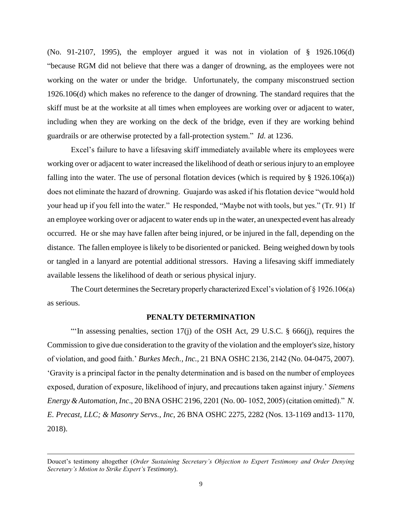(No. 91-2107, 1995), the employer argued it was not in violation of § 1926.106(d) "because [R](javascript:top.docjs.prev_hit(42))G[M](javascript:top.docjs.next_hit(42)) did not believe that there was a danger of drowning, as the employees were not working on the water or under the bridge. Unfortunately, the company misconstrued section 1926.106(d) which makes no reference to the danger of drowning. The standard requires that the skiff must be at the worksite at all times when employees are working over or adjacent to water, including when they are working on the deck of the bridge, even if they are working behind guardrails or are otherwise protected by a fall-protection system." *Id.* at 1236.

Excel's failure to have a lifesaving skiff immediately available where its employees were working over or adjacent to water increased the likelihood of death or serious injury to an employee falling into the water. The use of personal flotation devices (which is required by  $\S$  1926.106(a)) does not eliminate the hazard of drowning. Guajardo was asked if his flotation device "would hold your head up if you fell into the water." He responded, "Maybe not with tools, but yes." (Tr. 91) If an employee working over or adjacent to water ends up in the water, an unexpected event has already occurred. He or she may have fallen after being injured, or be injured in the fall, depending on the distance. The fallen employee is likely to be disoriented or panicked. Being weighed down by tools or tangled in a lanyard are potential additional stressors. Having a lifesaving skiff immediately available lessens the likelihood of death or serious physical injury.

The Court determines the Secretary properly characterized Excel's violation of § 1926.106(a) as serious.

### **PENALTY DETERMINATION**

"'In assessing penalties, section 17(j) of the OSH Act, 29 U.S.C. § 666(j), requires the Commission to give due consideration to the gravity of the violation and the employer's size, history of violation, and good faith.' *Burkes Mech., Inc.,* 21 BNA OSHC 2136, 2142 (No. 04-0475, 2007). 'Gravity is a principal factor in the penalty determination and is based on the number of employees exposed, duration of exposure, likelihood of injury, and precautions taken against injury.' *Siemens Energy & Automation, Inc*., 20 BNA OSHC 2196, 2201 (No. 00- 1052, 2005) (citation omitted)." *N. E. Precast, LLC; & Masonry Servs., Inc*, 26 BNA OSHC 2275, 2282 (Nos. 13-1169 and13- 1170, 2018).

 $\overline{\phantom{a}}$ 

Doucet's testimony altogether (*Order Sustaining Secretary's Objection to Expert Testimony and Order Denying Secretary's Motion to Strike Expert's Testimony*).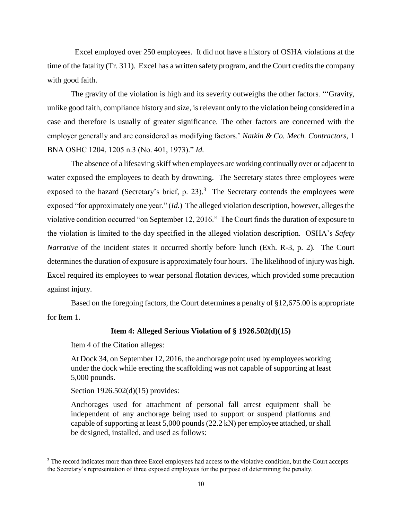Excel employed over 250 employees. It did not have a history of OSHA violations at the time of the fatality (Tr. 311). Excel has a written safety program, and the Court credits the company with good faith.

The gravity of the violation is high and its severity outweighs the other factors. "'Gravity, unlike good faith, compliance history and size, is relevant only to the violation being considered in a case and therefore is usually of greater significance. The other factors are concerned with the employer generally and are considered as modifying factors.' *Natkin & Co. Mech. Contractors*, 1 BNA OSHC 1204, 1205 n.3 (No. 401, 1973)." *Id.*

The absence of a lifesaving skiff when employees are working continually over or adjacent to water exposed the employees to death by drowning. The Secretary states three employees were exposed to the hazard (Secretary's brief, p. 23).<sup>3</sup> The Secretary contends the employees were exposed "for approximately one year." (*Id.*) The alleged violation description, however, alleges the violative condition occurred "on September 12, 2016." The Court finds the duration of exposure to the violation is limited to the day specified in the alleged violation description. OSHA's *Safety Narrative* of the incident states it occurred shortly before lunch (Exh. R-3, p. 2). The Court determines the duration of exposure is approximately four hours. The likelihood of injury was high. Excel required its employees to wear personal flotation devices, which provided some precaution against injury.

Based on the foregoing factors, the Court determines a penalty of §12,675.00 is appropriate for Item 1.

### **Item 4: Alleged Serious Violation of § 1926.502(d)(15)**

Item 4 of the Citation alleges:

At Dock 34, on September 12, 2016, the anchorage point used by employees working under the dock while erecting the scaffolding was not capable of supporting at least 5,000 pounds.

Section 1926.502(d)(15) provides:

 $\overline{\phantom{a}}$ 

Anchorages used for attachment of personal fall arrest equipment shall be independent of any anchorage being used to support or suspend platforms and capable of supporting at least 5,000 pounds (22.2 kN) per employee attached, or shall be designed, installed, and used as follows:

<sup>&</sup>lt;sup>3</sup> The record indicates more than three Excel employees had access to the violative condition, but the Court accepts the Secretary's representation of three exposed employees for the purpose of determining the penalty.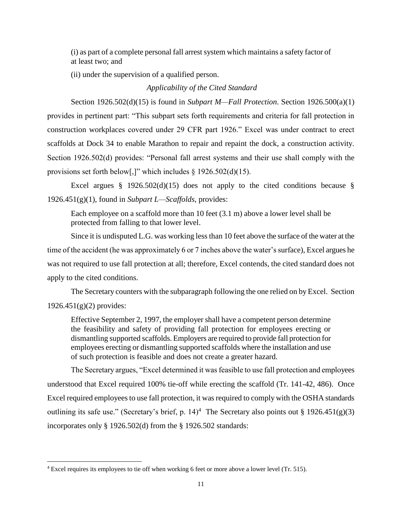(i) as part of a complete personal fall arrest system which maintains a safety factor of at least two; and

(ii) under the supervision of a qualified person.

## *Applicability of the Cited Standard*

Section 1926.502(d)(15) is found in *Subpart M—Fall Protection*. Section 1926.500(a)(1) provides in pertinent part: "This subpart sets forth requirements and criteria for fall protection in construction workplaces covered under 29 CFR part 1926." Excel was under contract to erect scaffolds at Dock 34 to enable Marathon to repair and repaint the dock, a construction activity. Section 1926.502(d) provides: "Personal fall arrest systems and their use shall comply with the provisions set forth below[,]" which includes § 1926.502(d)(15).

Excel argues § 1926.502(d)(15) does not apply to the cited conditions because § 1926.451(g)(1), found in *Subpart L—Scaffolds*, provides:

Each employee on a scaffold more than 10 feet (3.1 m) above a lower level shall be protected from falling to that lower level.

Since it is undisputed L.G. was working less than 10 feet above the surface of the water at the time of the accident (he was approximately 6 or 7 inches above the water's surface), Excel argues he was not required to use fall protection at all; therefore, Excel contends, the cited standard does not apply to the cited conditions.

The Secretary counters with the subparagraph following the one relied on by Excel. Section  $1926.451(g)(2)$  provides:

Effective September 2, 1997, the employer shall have a competent person determine the feasibility and safety of providing fall protection for employees erecting or dismantling supported scaffolds. Employers are required to provide fall protection for employees erecting or dismantling supported scaffolds where the installation and use of such protection is feasible and does not create a greater hazard.

The Secretary argues, "Excel determined it was feasible to use fall protection and employees understood that Excel required 100% tie-off while erecting the scaffold (Tr. 141-42, 486). Once Excel required employees to use fall protection, it was required to comply with the OSHA standards outlining its safe use." (Secretary's brief, p. 14)<sup>4</sup> The Secretary also points out § 1926.451(g)(3) incorporates only § 1926.502(d) from the § 1926.502 standards:

 $\overline{\phantom{a}}$ 

<sup>4</sup> Excel requires its employees to tie off when working 6 feet or more above a lower level (Tr. 515).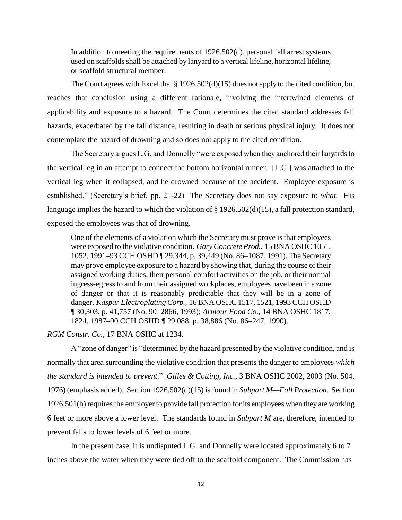In addition to meeting the requirements of 1926.502(d), personal fall arrest systems used on scaffolds shall be attached by lanyard to a vertical lifeline, horizontal lifeline, or scaffold structural member.

The Court agrees with Excel that § 1926.502(d)(15) does not apply to the cited condition, but reaches that conclusion using a different rationale, involving the intertwined elements of applicability and exposure to a hazard. The Court determines the cited standard addresses fall hazards, exacerbated by the fall distance, resulting in death or serious physical injury. It does not contemplate the hazard of drowning and so does not apply to the cited condition.

The Secretary argues L.G. and Donnelly "were exposed when they anchored their lanyards to the vertical leg in an attempt to connect the bottom horizontal runner. [L.G.] was attached to the vertical leg when it collapsed, and he drowned because of the accident. Employee exposure is established." (Secretary's brief, pp. 21-22) The Secretary does not say exposure to *what.* His language implies the hazard to which the violation of § 1926.502(d)(15), a fall protection standard, exposed the employees was that of drowning.

One of the elements of a violation which the Secretary must prove is that employees were exposed to the violative condition. *Gary Concrete Prod.,* 15 BNA OSHC 1051, 1052, 1991–93 CCH OSHD ¶ 29,344, p. 39,449 (No. 86–1087, 1991). The Secretary may prove employee exposure to a hazard by showing that, during the course of their assigned working duties, their personal comfort activities on the job, or their normal ingress-egress to and from their assigned workplaces, employees have been in a zone of danger or that it is reasonably predictable that they will be in a zone of danger. *Kaspar Electroplating Corp.,* 16 BNA OSHC 1517, 1521, 1993 CCH OSHD ¶ 30,303, p. 41,757 (No. 90–2866, 1993); *Armour Food Co.,* 14 BNA OSHC 1817, 1824, 1987–90 CCH OSHD ¶ 29,088, p. 38,886 (No. 86–247, 1990).

*RGM Constr. Co.,* 17 BNA OSHC at 1234.

A "zone of danger" is "determined by the hazard presented by the violative condition, and is normally that area surrounding the violative condition that presents the danger to employees *which the standard is intended to prevent*." *Gilles & Cotting, Inc.,* 3 BNA OSHC 2002, 2003 (No. 504, 1976) (emphasis added). Section 1926.502(d)(15) is found in *Subpart M—Fall Protection.* Section 1926.501(b) requires the employer to provide fall protection for its employees when they are working 6 feet or more above a lower level. The standards found in *Subpart M* are, therefore, intended to prevent falls to lower levels of 6 feet or more.

In the present case, it is undisputed L.G. and Donnelly were located approximately 6 to 7 inches above the water when they were tied off to the scaffold component. The Commission has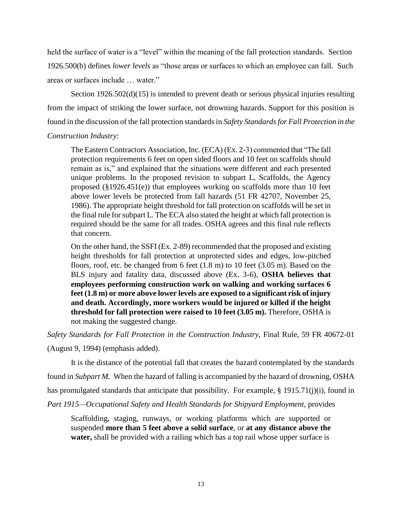held the surface of water is a "level" within the meaning of the fall protection standards. Section 1926.500(b) defines *lower levels* as "those areas or surfaces to which an employee can fall. Such areas or surfaces include … water."

Section 1926.502(d)(15) is intended to prevent death or serious physical injuries resulting from the impact of striking the lower surface, not drowning hazards. Support for this position is found in the discussion of the fall protection standards in *Safety Standards for Fall Protection in the Construction Industry*:

The Eastern Contractors Association, Inc. (ECA) (Ex. 2-3) commented that "The fall protection requirements 6 feet on open sided floors and 10 feet on scaffolds should remain as is," and explained that the situations were different and each presented unique problems. In the proposed revision to subpart L, Scaffolds, the Agency proposed (§1926.451(e)) that employees working on scaffolds more than 10 feet above lower levels be protected from fall hazards (51 FR 42707, November 25, 1986). The appropriate height threshold for fall protection on scaffolds will be set in the final rule for subpart L. The ECA also stated the height at which fall protection is required should be the same for all trades. OSHA agrees and this final rule reflects that concern.

On the other hand, the SSFI (Ex. 2-89) recommended that the proposed and existing height thresholds for fall protection at unprotected sides and edges, low-pitched floors, roof, etc. be changed from 6 feet (1.8 m) to 10 feet (3.05 m). Based on the BLS injury and fatality data, discussed above (Ex. 3-6), **OSHA believes that employees performing construction work on walking and working surfaces 6 feet (1.8 m) or more above lower levels are exposed to a significant risk of injury and death. Accordingly, more workers would be injured or killed if the height threshold for fall protection were raised to 10 feet (3.05 m).** Therefore, OSHA is not making the suggested change.

*Safety Standards for Fall Protection in the Construction Industry*, Final Rule, 59 FR 40672-01

(August 9, 1994) (emphasis added).

It is the distance of the potential fall that creates the hazard contemplated by the standards

found in *Subpart M.* When the hazard of falling is accompanied by the hazard of drowning, OSHA

has promulgated standards that anticipate that possibility. For example, § 1915.71(j)(i), found in

Part 1915—Occupational Safety and Health Standards for Shipyard Employment, provides

Scaffolding, staging, runways, or working platforms which are supported or suspended **more than 5 feet above a solid surface**, or **at any distance above the water,** shall be provided with a railing which has a top rail whose upper surface is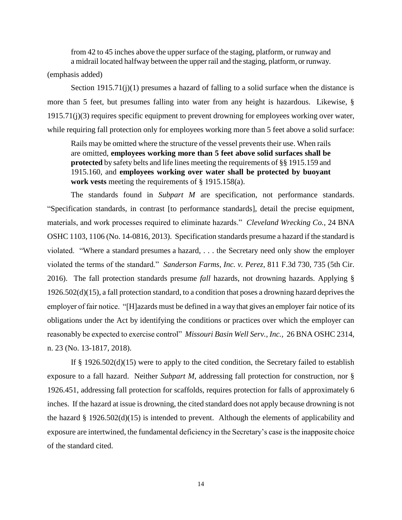from 42 to 45 inches above the upper surface of the staging, platform, or runway and a midrail located halfway between the upper rail and the staging, platform, or runway.

(emphasis added)

Section  $1915.71(j)(1)$  presumes a hazard of falling to a solid surface when the distance is more than 5 feet, but presumes falling into water from any height is hazardous. Likewise, § 1915.71(j)(3) requires specific equipment to prevent drowning for employees working over water, while requiring fall protection only for employees working more than 5 feet above a solid surface:

Rails may be omitted where the structure of the vessel prevents their use. When rails are omitted, **employees working more than 5 feet above solid surfaces shall be protected** by safety belts and life lines meeting the requirements of §§ 1915.159 and 1915.160, and **employees working over water shall be protected by buoyant work vests** meeting the requirements of § 1915.158(a).

The standards found in *Subpart M* are specification, not performance standards. "Specification standards, in contrast [to performance standards], detail the precise equipment, materials, and work processes required to eliminate hazards." *Cleveland Wrecking Co.,* 24 BNA OSHC 1103, 1106 (No. 14-0816, 2013). Specification standards presume a hazard if the standard is violated. "Where a standard presumes a hazard, . . . the Secretary need only show the employer violated the terms of the standard." *Sanderson Farms, Inc. v. Perez*, 811 F.3d 730, 735 (5th Cir. 2016). The fall protection standards presume *fall* hazards, not drowning hazards. Applying § 1926.502(d)(15), a fall protection standard, to a condition that poses a drowning hazard deprives the employer of fair notice. "[H]azards must be defined in a way that gives an employer fair notice of its obligations under the Act by identifying the conditions or practices over which the employer can reasonably be expected to exercise control" *Missouri Basin Well Serv., Inc.,* 26 BNA OSHC 2314, n. 23 (No. 13-1817, 2018).

If § 1926.502(d)(15) were to apply to the cited condition, the Secretary failed to establish exposure to a fall hazard. Neither *Subpart M*, addressing fall protection for construction, nor § 1926.451, addressing fall protection for scaffolds, requires protection for falls of approximately 6 inches. If the hazard at issue is drowning, the cited standard does not apply because drowning is not the hazard § 1926.502(d)(15) is intended to prevent. Although the elements of applicability and exposure are intertwined, the fundamental deficiency in the Secretary's case is the inapposite choice of the standard cited.